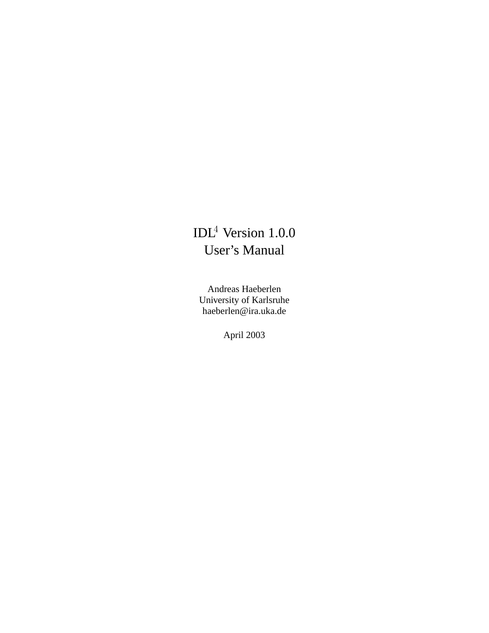# IDL<sup>4</sup> Version 1.0.0 User's Manual

Andreas Haeberlen University of Karlsruhe haeberlen@ira.uka.de

April 2003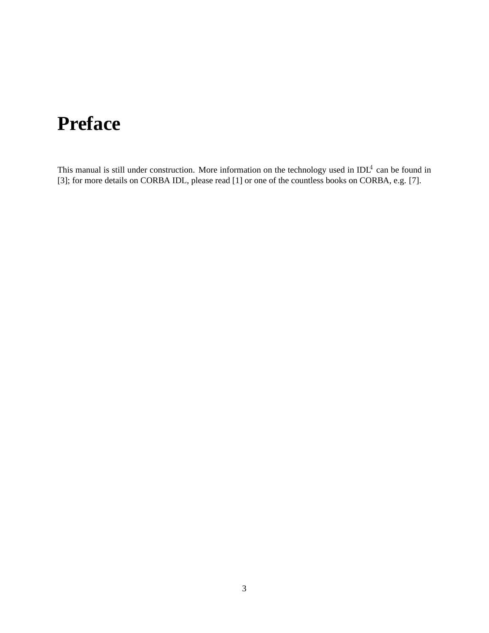# **Preface**

This manual is still under construction. More information on the technology used in  $IDL<sup>4</sup>$  can be found in [3]; for more details on CORBA IDL, please read [1] or one of the countless books on CORBA, e.g. [7].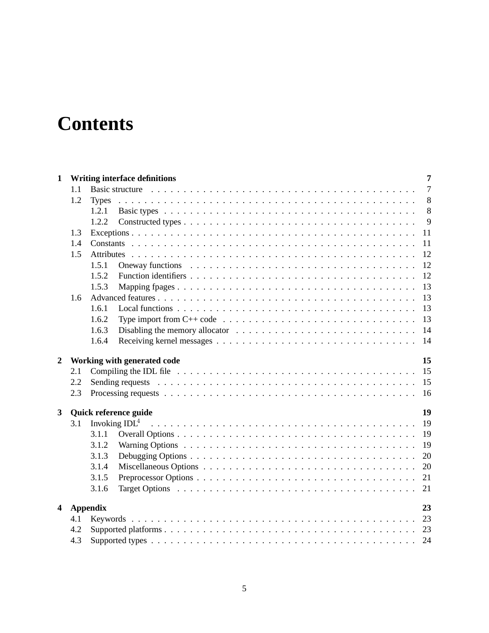# **Contents**

| $\mathbf{1}$            |                             | 7<br><b>Writing interface definitions</b>                                                                                                                                                                                                     |  |  |  |  |
|-------------------------|-----------------------------|-----------------------------------------------------------------------------------------------------------------------------------------------------------------------------------------------------------------------------------------------|--|--|--|--|
|                         | 1.1                         | $\overline{7}$                                                                                                                                                                                                                                |  |  |  |  |
|                         | 1.2                         | 8<br><b>Types</b>                                                                                                                                                                                                                             |  |  |  |  |
|                         |                             | 8<br>1.2.1                                                                                                                                                                                                                                    |  |  |  |  |
|                         |                             | 9<br>1.2.2                                                                                                                                                                                                                                    |  |  |  |  |
|                         | 1.3                         | 11                                                                                                                                                                                                                                            |  |  |  |  |
|                         | 1.4                         | 11                                                                                                                                                                                                                                            |  |  |  |  |
|                         | 1.5                         | 12<br>Attributes                                                                                                                                                                                                                              |  |  |  |  |
|                         |                             | 12<br>1.5.1<br>Oneway functions enterprise in the context of the context of the context of the context of the context of the context of the context of the context of the context of the context of the context of the context of the context |  |  |  |  |
|                         |                             | 12<br>1.5.2                                                                                                                                                                                                                                   |  |  |  |  |
|                         |                             | 13<br>1.5.3                                                                                                                                                                                                                                   |  |  |  |  |
|                         | 1.6                         | 13                                                                                                                                                                                                                                            |  |  |  |  |
|                         |                             | 13<br>1.6.1                                                                                                                                                                                                                                   |  |  |  |  |
|                         |                             | 13<br>1.6.2<br>Type import from C++ code $\dots \dots \dots \dots \dots \dots \dots \dots \dots \dots \dots \dots \dots \dots$                                                                                                                |  |  |  |  |
|                         |                             | 14<br>1.6.3                                                                                                                                                                                                                                   |  |  |  |  |
|                         |                             | 1.6.4<br>14                                                                                                                                                                                                                                   |  |  |  |  |
| $\overline{2}$          |                             | 15<br>Working with generated code                                                                                                                                                                                                             |  |  |  |  |
|                         | 2.1                         | 15                                                                                                                                                                                                                                            |  |  |  |  |
|                         | 2.2                         | 15                                                                                                                                                                                                                                            |  |  |  |  |
|                         | 2.3                         | 16                                                                                                                                                                                                                                            |  |  |  |  |
|                         |                             |                                                                                                                                                                                                                                               |  |  |  |  |
| $\mathbf{3}$            | 19<br>Quick reference guide |                                                                                                                                                                                                                                               |  |  |  |  |
|                         | 3.1                         | 19                                                                                                                                                                                                                                            |  |  |  |  |
|                         |                             | 19<br>3.1.1                                                                                                                                                                                                                                   |  |  |  |  |
|                         |                             | 19<br>3.1.2                                                                                                                                                                                                                                   |  |  |  |  |
|                         |                             | 3.1.3<br>20                                                                                                                                                                                                                                   |  |  |  |  |
|                         |                             | 20<br>3.1.4                                                                                                                                                                                                                                   |  |  |  |  |
|                         |                             | 3.1.5<br>21                                                                                                                                                                                                                                   |  |  |  |  |
|                         |                             | 21<br>3.1.6                                                                                                                                                                                                                                   |  |  |  |  |
|                         |                             |                                                                                                                                                                                                                                               |  |  |  |  |
| $\overline{\mathbf{4}}$ |                             | 23<br><b>Appendix</b>                                                                                                                                                                                                                         |  |  |  |  |
|                         | 4.1                         | 23                                                                                                                                                                                                                                            |  |  |  |  |
|                         | 4.2                         |                                                                                                                                                                                                                                               |  |  |  |  |
| 4.3                     |                             | 24                                                                                                                                                                                                                                            |  |  |  |  |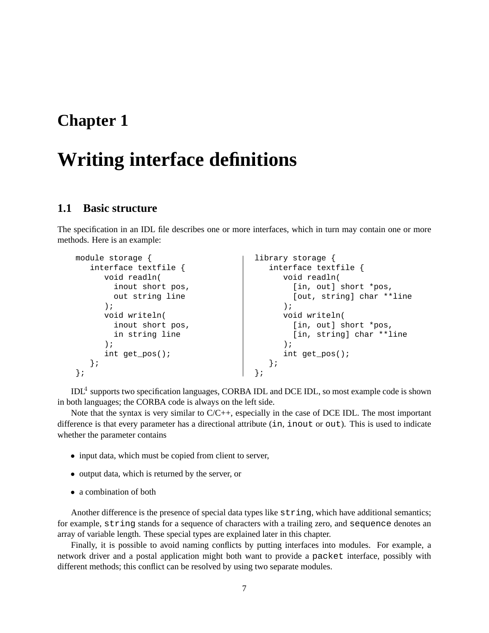# **Writing interface definitions**

#### **1.1 Basic structure**

The specification in an IDL file describes one or more interfaces, which in turn may contain one or more methods. Here is an example:

| module storage          | library storage           |
|-------------------------|---------------------------|
| interface textfile $\{$ | interface textfile $\{$   |
| void readln(            | void readln(              |
| inout short pos,        | [in, out] short *pos,     |
| out string line         | [out, string] char **line |
| $\rightarrow$           | $\cdot$                   |
| void writeln(           | void writeln(             |
| inout short pos,        | [in, out] short *pos,     |
| in string line          | [in, string] char **line  |
|                         |                           |
| int get $pos()$ ;       | int get $pos()$ ;         |
|                         |                           |
|                         |                           |

IDL<sup>4</sup> supports two specification languages, CORBA IDL and DCE IDL, so most example code is shown in both languages; the CORBA code is always on the left side.

Note that the syntax is very similar to C/C++, especially in the case of DCE IDL. The most important difference is that every parameter has a directional attribute (in, inout or out). This is used to indicate whether the parameter contains

- input data, which must be copied from client to server,
- output data, which is returned by the server, or
- a combination of both

Another difference is the presence of special data types like string, which have additional semantics; for example, string stands for a sequence of characters with a trailing zero, and sequence denotes an array of variable length. These special types are explained later in this chapter.

Finally, it is possible to avoid naming conflicts by putting interfaces into modules. For example, a network driver and a postal application might both want to provide a packet interface, possibly with different methods; this conflict can be resolved by using two separate modules.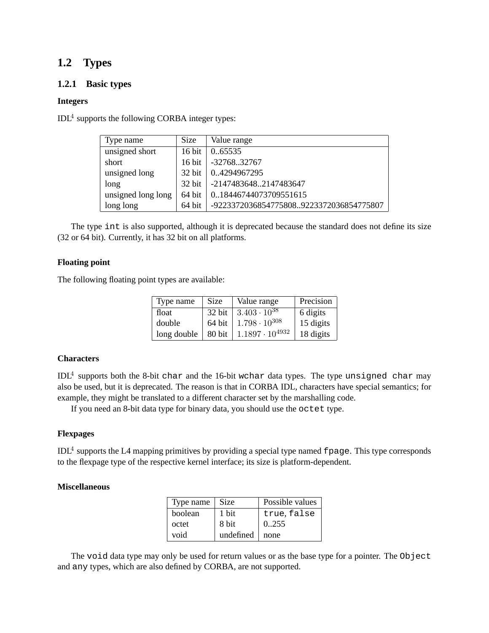### **1.2 Types**

#### **1.2.1 Basic types**

#### **Integers**

 $IDL<sup>4</sup>$  supports the following CORBA integer types:

| Type name          | <b>Size</b>      | Value range                             |
|--------------------|------------------|-----------------------------------------|
| unsigned short     | $16 \text{ bit}$ | 065535                                  |
| short              |                  | 16 bit -3276832767                      |
| unsigned long      |                  | 32 bit   04294967295                    |
| long               |                  | 32 bit   -21474836482147483647          |
| unsigned long long |                  | 64 bit   018446744073709551615          |
| long long          | $64$ bit         | -92233720368547758089223372036854775807 |

The type int is also supported, although it is deprecated because the standard does not define its size (32 or 64 bit). Currently, it has 32 bit on all platforms.

#### **Floating point**

The following floating point types are available:

| Type name   | Size   | Value range                    | Precision |
|-------------|--------|--------------------------------|-----------|
| float       |        | 32 bit   $3.403 \cdot 10^{38}$ | 6 digits  |
| double      | 64 bit | $1.798 \cdot 10^{308}$         | 15 digits |
| long double | 80 bit | $1.1897 \cdot 10^{4932}$       | 18 digits |

#### **Characters**

 $\rm{IDL}^4$  supports both the 8-bit char and the 16-bit wchar data types. The type unsigned char may also be used, but it is deprecated. The reason is that in CORBA IDL, characters have special semantics; for example, they might be translated to a different character set by the marshalling code.

If you need an 8-bit data type for binary data, you should use the octet type.

#### **Flexpages**

IDL<sup>4</sup> supports the L4 mapping primitives by providing a special type named fpage. This type corresponds to the flexpage type of the respective kernel interface; its size is platform-dependent.

#### **Miscellaneous**

| Type name | Size      | Possible values |
|-----------|-----------|-----------------|
| boolean   | 1 bit     | true, false     |
| octet     | 8 bit     | 0.255           |
| void      | undefined | none            |

The void data type may only be used for return values or as the base type for a pointer. The Object and any types, which are also defined by CORBA, are not supported.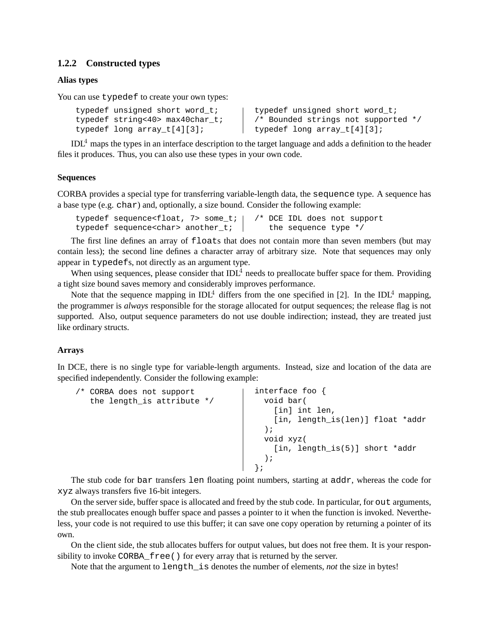#### **1.2.2 Constructed types**

#### **Alias types**

You can use typedef to create your own types:

```
typedef unsigned short word_t;
typedef string<40> max40char_t;
typedef long array_t[4][3];
```
typedef unsigned short word\_t; /\* Bounded strings not supported \*/ typedef long array t[4][3];

 $IDL<sup>4</sup>$  maps the types in an interface description to the target language and adds a definition to the header files it produces. Thus, you can also use these types in your own code.

#### **Sequences**

CORBA provides a special type for transferring variable-length data, the sequence type. A sequence has a base type (e.g. char) and, optionally, a size bound. Consider the following example:

```
typedef sequence<float, 7> some t; |
typedef sequence<char> another t;
                                      /* DCE IDL does not support
                                         the sequence type */
```
The first line defines an array of floats that does not contain more than seven members (but may contain less); the second line defines a character array of arbitrary size. Note that sequences may only appear in typedefs, not directly as an argument type.

When using sequences, please consider that  $IDL<sup>4</sup>$  needs to preallocate buffer space for them. Providing a tight size bound saves memory and considerably improves performance.

Note that the sequence mapping in  $IDL<sup>4</sup>$  differs from the one specified in [2]. In the IDL<sup>4</sup> mapping, the programmer is *always* responsible for the storage allocated for output sequences; the release flag is not supported. Also, output sequence parameters do not use double indirection; instead, they are treated just like ordinary structs.

#### **Arrays**

In DCE, there is no single type for variable-length arguments. Instead, size and location of the data are specified independently. Consider the following example:

```
/* CORBA does not support
  the length_is attribute */
                                      interface foo {
                                        void bar(
                                          [in] int len,
                                          [in, length_is(len)] float *addr
                                        );
                                       void xyz(
                                         [in, length_is(5)] short *addr
                                        );
                                      };
```
The stub code for bar transfers len floating point numbers, starting at addr, whereas the code for xyz always transfers five 16-bit integers.

On the server side, buffer space is allocated and freed by the stub code. In particular, for out arguments, the stub preallocates enough buffer space and passes a pointer to it when the function is invoked. Nevertheless, your code is not required to use this buffer; it can save one copy operation by returning a pointer of its own.

On the client side, the stub allocates buffers for output values, but does not free them. It is your responsibility to invoke CORBA  $free()$  for every array that is returned by the server.

Note that the argument to length\_is denotes the number of elements, *not* the size in bytes!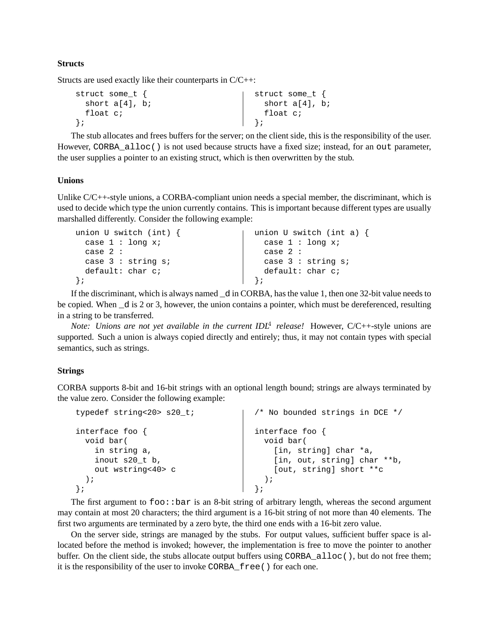#### **Structs**

Structs are used exactly like their counterparts in C/C++:

```
struct some t {
  short a[4], b;
  float c;
};
                                       struct some t {
                                          short a[4], b;
                                          float c;
                                        };
```
The stub allocates and frees buffers for the server; on the client side, this is the responsibility of the user. However, CORBA\_alloc() is not used because structs have a fixed size; instead, for an out parameter, the user supplies a pointer to an existing struct, which is then overwritten by the stub.

#### **Unions**

Unlike C/C++-style unions, a CORBA-compliant union needs a special member, the discriminant, which is used to decide which type the union currently contains. This is important because different types are usually marshalled differently. Consider the following example:

| union U switch (int) $\{$ | union U switch (int a) $\{$ |
|---------------------------|-----------------------------|
| case $1:$ long $xi$       | case $1:$ long $xi$         |
| case $2:$                 | case 2 :                    |
| case $3:$ string $si$     | case $3:$ string s;         |
| default: char c;          | default: char c;            |
|                           |                             |

If the discriminant, which is always named \_d in CORBA, has the value 1, then one 32-bit value needs to be copied. When d is 2 or 3, however, the union contains a pointer, which must be dereferenced, resulting in a string to be transferred.

*Note: Unions are not yet available in the current IDL*<sup>4</sup> *release!* However, C/C++-style unions are supported. Such a union is always copied directly and entirely; thus, it may not contain types with special semantics, such as strings.

#### **Strings**

CORBA supports 8-bit and 16-bit strings with an optional length bound; strings are always terminated by the value zero. Consider the following example:

| typedef string<20> s20_t; | /* No bounded strings in DCE */ |
|---------------------------|---------------------------------|
| interface foo $\{$        | interface foo $\{$              |
| void bar(                 | void bar(                       |
| in string a,              | [in, string] char *a,           |
| inout s20 t b,            | [in, out, string] char **b,     |
| out wstring<40> c         | [out, string] short **c         |
|                           |                                 |
| $\}$ ;                    |                                 |

The first argument to  $f \circ \circ \cdot$ : bar is an 8-bit string of arbitrary length, whereas the second argument may contain at most 20 characters; the third argument is a 16-bit string of not more than 40 elements. The first two arguments are terminated by a zero byte, the third one ends with a 16-bit zero value.

On the server side, strings are managed by the stubs. For output values, sufficient buffer space is allocated before the method is invoked; however, the implementation is free to move the pointer to another buffer. On the client side, the stubs allocate output buffers using CORBA\_alloc(), but do not free them; it is the responsibility of the user to invoke CORBA\_free() for each one.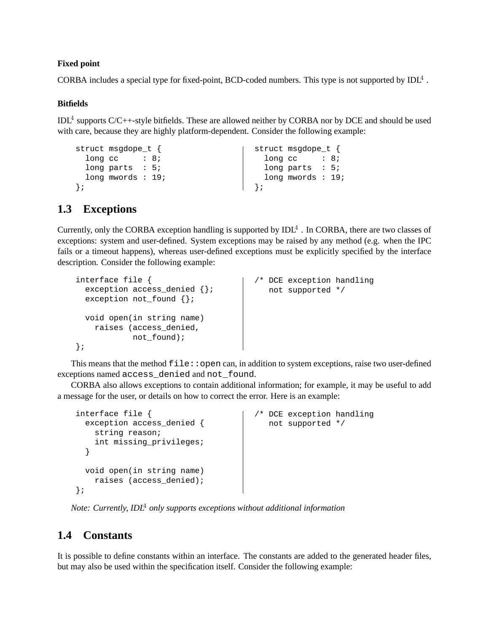#### **Fixed point**

CORBA includes a special type for fixed-point, BCD-coded numbers. This type is not supported by IDL<sup>4</sup>.

#### **Bitfields**

IDL<sup>4</sup> supports C/C++-style bitfields. These are allowed neither by CORBA nor by DCE and should be used with care, because they are highly platform-dependent. Consider the following example:

```
struct msgdope_t {
 long cc : 8;
 long parts : 5;
 long mwords : 19;
};
                                    struct msgdope_t {
                                      long cc : 8;
                                      long parts : 5;
                                      long mwords : 19;
                                    };
```
### **1.3 Exceptions**

Currently, only the CORBA exception handling is supported by  $IDL<sup>4</sup>$ . In CORBA, there are two classes of exceptions: system and user-defined. System exceptions may be raised by any method (e.g. when the IPC fails or a timeout happens), whereas user-defined exceptions must be explicitly specified by the interface description. Consider the following example:

```
interface file {
 exception access_denied {};
 exception not_found {};
 void open(in string name)
   raises (access_denied,
           not found);
};
                                     /* DCE exception handling
                                        not supported */
```
This means that the method  $file::open can, in addition to system exceptions, raise two user-defined$ exceptions named access\_denied and not\_found.

CORBA also allows exceptions to contain additional information; for example, it may be useful to add a message for the user, or details on how to correct the error. Here is an example:

```
interface file {
 exception access denied {
   string reason;
   int missing_privileges;
 }
 void open(in string name)
   raises (access_denied);
};
                                     /* DCE exception handling
                                       not supported */
```
*Note: Currently, IDL*<sup>4</sup> *only supports exceptions without additional information*

### **1.4 Constants**

It is possible to define constants within an interface. The constants are added to the generated header files, but may also be used within the specification itself. Consider the following example: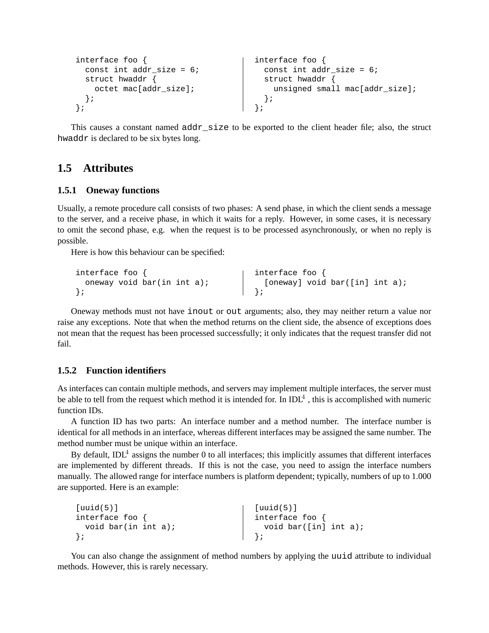```
interface foo {
 const int addr size = 6;
 struct hwaddr {
   octet mac[addr_size];
 };
};
                                   interface foo {
                                     const int addr_size = 6;
                                      struct hwaddr {
                                       unsigned small mac[addr_size];
                                      };
                                    };
```
This causes a constant named addr\_size to be exported to the client header file; also, the struct hwaddr is declared to be six bytes long.

#### **1.5 Attributes**

#### **1.5.1 Oneway functions**

Usually, a remote procedure call consists of two phases: A send phase, in which the client sends a message to the server, and a receive phase, in which it waits for a reply. However, in some cases, it is necessary to omit the second phase, e.g. when the request is to be processed asynchronously, or when no reply is possible.

Here is how this behaviour can be specified:

```
interface foo {
  oneway void bar(in int a);
};
                                      interface foo {
                                      [oneway] void bar([in] int a);
                                      };
```
Oneway methods must not have inout or out arguments; also, they may neither return a value nor raise any exceptions. Note that when the method returns on the client side, the absence of exceptions does not mean that the request has been processed successfully; it only indicates that the request transfer did not fail.

#### **1.5.2 Function identifiers**

As interfaces can contain multiple methods, and servers may implement multiple interfaces, the server must be able to tell from the request which method it is intended for. In  $IDL<sup>4</sup>$ , this is accomplished with numeric function IDs.

A function ID has two parts: An interface number and a method number. The interface number is identical for all methods in an interface, whereas different interfaces may be assigned the same number. The method number must be unique within an interface.

By default, IDL<sup>4</sup> assigns the number 0 to all interfaces; this implicitly assumes that different interfaces are implemented by different threads. If this is not the case, you need to assign the interface numbers manually. The allowed range for interface numbers is platform dependent; typically, numbers of up to 1.000 are supported. Here is an example:

```
[uuid(5)]
interface foo {
  void bar(in int a);
};
                                     [uuid(5)]
                                      interface foo {
                                        void bar([in] int a);
                                      };
```
You can also change the assignment of method numbers by applying the uuid attribute to individual methods. However, this is rarely necessary.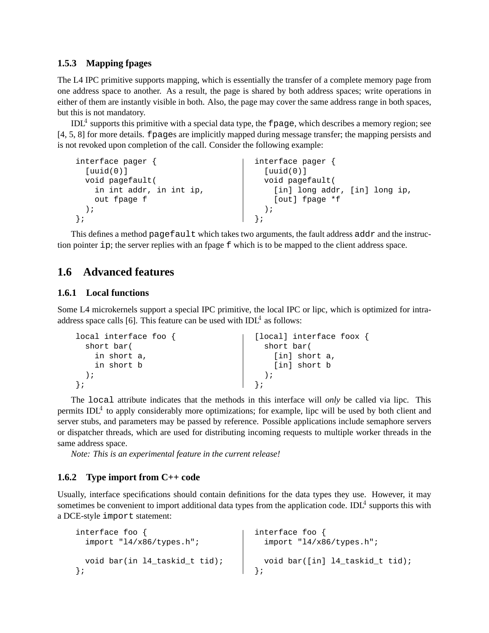#### **1.5.3 Mapping fpages**

The L4 IPC primitive supports mapping, which is essentially the transfer of a complete memory page from one address space to another. As a result, the page is shared by both address spaces; write operations in either of them are instantly visible in both. Also, the page may cover the same address range in both spaces, but this is not mandatory.

 $IDL<sup>4</sup>$  supports this primitive with a special data type, the fpage, which describes a memory region; see [4, 5, 8] for more details. fpages are implicitly mapped during message transfer; the mapping persists and is not revoked upon completion of the call. Consider the following example:

```
interface pager {
  [uuid(0)]
  void pagefault(
    in int addr, in int ip,
    out fpage f
 );
};
                                      interface pager {
                                       [uuid(0)]
                                        void pagefault(
                                          [in] long addr, [in] long ip,
                                          [out] fpage *f
                                        );
                                      };
```
This defines a method pagefault which takes two arguments, the fault address addr and the instruction pointer ip; the server replies with an fpage f which is to be mapped to the client address space.

### **1.6 Advanced features**

#### **1.6.1 Local functions**

Some L4 microkernels support a special IPC primitive, the local IPC or lipc, which is optimized for intraaddress space calls [6]. This feature can be used with  $IDL<sup>4</sup>$  as follows:

| local interface foo $\{$ | [local] interface foox { |
|--------------------------|--------------------------|
| short bar(               | short bar(               |
| in short a,              | [in] short a,            |
| in short b               | [in] short b             |
|                          |                          |
|                          |                          |

The local attribute indicates that the methods in this interface will *only* be called via lipc. This permits IDL<sup>4</sup> to apply considerably more optimizations; for example, lipc will be used by both client and server stubs, and parameters may be passed by reference. Possible applications include semaphore servers or dispatcher threads, which are used for distributing incoming requests to multiple worker threads in the same address space.

*Note: This is an experimental feature in the current release!*

#### **1.6.2 Type import from C++ code**

Usually, interface specifications should contain definitions for the data types they use. However, it may sometimes be convenient to import additional data types from the application code. IDL<sup>4</sup> supports this with a DCE-style import statement:

```
interface foo {
  import "l4/x86/types.h";
  void bar(in l4_taskid_t tid);
};
                                       interface foo {
                                         import "l4/x86/types.h";
                                         void bar([in] l4_taskid_t tid);
                                       };
```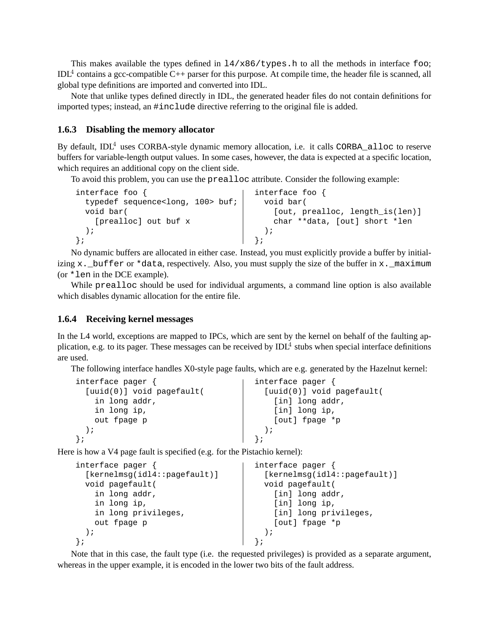This makes available the types defined in  $14/x86/types$ .h to all the methods in interface foo;  $IDL<sup>4</sup>$  contains a gcc-compatible C++ parser for this purpose. At compile time, the header file is scanned, all global type definitions are imported and converted into IDL.

Note that unlike types defined directly in IDL, the generated header files do not contain definitions for imported types; instead, an #include directive referring to the original file is added.

#### **1.6.3 Disabling the memory allocator**

By default,  $IDL<sup>4</sup>$  uses CORBA-style dynamic memory allocation, i.e. it calls CORBA alloc to reserve buffers for variable-length output values. In some cases, however, the data is expected at a specific location, which requires an additional copy on the client side.

To avoid this problem, you can use the prealloc attribute. Consider the following example:

```
interface foo {
 typedef sequence<long, 100> buf;
 void bar(
   [prealloc] out buf x
 );
};
                                     interface foo {
                                      void bar(
                                          [out, prealloc, length_is(len)]
                                          char **data, [out] short *len
                                        );
                                      };
```
No dynamic buffers are allocated in either case. Instead, you must explicitly provide a buffer by initializing x. \_buffer or \*data, respectively. Also, you must supply the size of the buffer in x. \_maximum (or \*len in the DCE example).

While prealloc should be used for individual arguments, a command line option is also available which disables dynamic allocation for the entire file.

#### **1.6.4 Receiving kernel messages**

In the L4 world, exceptions are mapped to IPCs, which are sent by the kernel on behalf of the faulting application, e.g. to its pager. These messages can be received by  $IDL<sup>4</sup>$  stubs when special interface definitions are used.

The following interface handles X0-style page faults, which are e.g. generated by the Hazelnut kernel:

| interface pager {           | interface pager {           |
|-----------------------------|-----------------------------|
| $[uuid(0)]$ void pagefault( | $[uuid(0)]$ void pagefault( |
| in long addr,               | [in] long addr,             |
| in long ip,                 | [in] long ip,               |
| out fpage p                 | [out] fpage *p              |
|                             |                             |
|                             |                             |

Here is how a V4 page fault is specified (e.g. for the Pistachio kernel):

```
interface pager {
  [kernelmsg(idl4::pagefault)]
  void pagefault(
    in long addr,
    in long ip,
    in long privileges,
    out fpage p
  );
};
                                      interface pager {
                                       [kernelmsg(idl4::pagefault)]
                                        void pagefault(
                                         [in] long addr,
                                         [in] long ip,
                                         [in] long privileges,
                                         [out] fpage *p
                                        );
                                      };
```
Note that in this case, the fault type (i.e. the requested privileges) is provided as a separate argument, whereas in the upper example, it is encoded in the lower two bits of the fault address.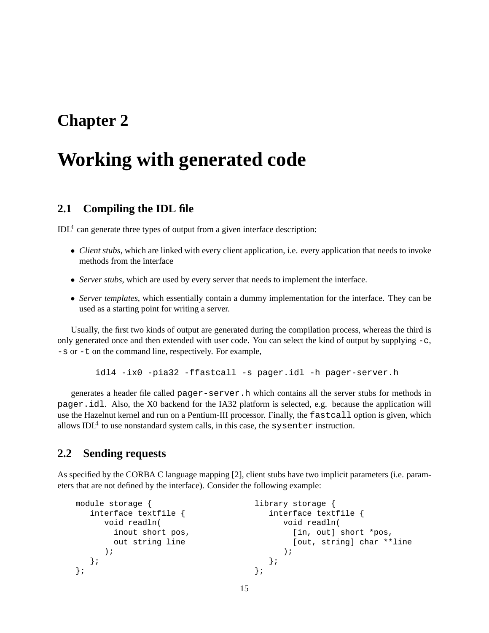# **Working with generated code**

### **2.1 Compiling the IDL file**

 $IDL<sup>4</sup>$  can generate three types of output from a given interface description:

- *Client stubs*, which are linked with every client application, i.e. every application that needs to invoke methods from the interface
- *Server stubs*, which are used by every server that needs to implement the interface.
- *Server templates*, which essentially contain a dummy implementation for the interface. They can be used as a starting point for writing a server.

Usually, the first two kinds of output are generated during the compilation process, whereas the third is only generated once and then extended with user code. You can select the kind of output by supplying  $-c$ , -s or -t on the command line, respectively. For example,

idl4 -ix0 -pia32 -ffastcall -s pager.idl -h pager-server.h

generates a header file called pager-server.h which contains all the server stubs for methods in pager.idl. Also, the X0 backend for the IA32 platform is selected, e.g. because the application will use the Hazelnut kernel and run on a Pentium-III processor. Finally, the fastcall option is given, which allows  $IDL<sup>4</sup>$  to use nonstandard system calls, in this case, the sysenter instruction.

### **2.2 Sending requests**

As specified by the CORBA C language mapping [2], client stubs have two implicit parameters (i.e. parameters that are not defined by the interface). Consider the following example:

```
module storage {
   interface textfile {
      void readln(
        inout short pos,
        out string line
      );
   };
};
                                       library storage {
                                          interface textfile {
                                             void readln(
                                                [in, out] short *pos,
                                                [out, string] char **line
                                              );
                                           };
                                       };
```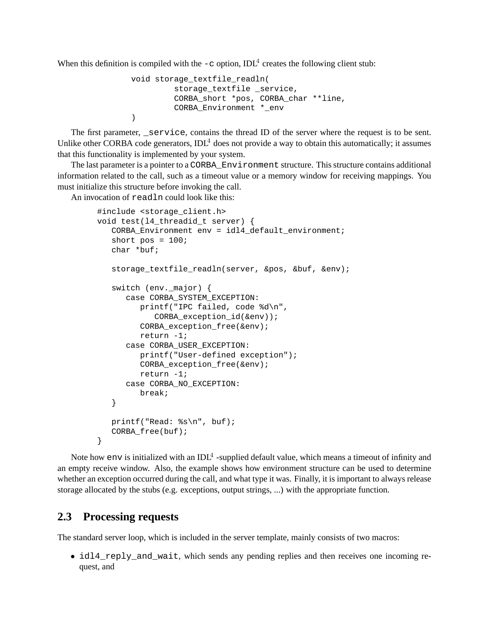When this definition is compiled with the  $-c$  option, IDL<sup>4</sup> creates the following client stub:

```
void storage_textfile_readln(
         storage_textfile _service,
         CORBA_short *pos, CORBA_char **line,
         CORBA Environment * env
)
```
The first parameter, service, contains the thread ID of the server where the request is to be sent. Unlike other CORBA code generators,  $IDL<sup>4</sup>$  does not provide a way to obtain this automatically; it assumes that this functionality is implemented by your system.

The last parameter is a pointer to a CORBA\_Environment structure. This structure contains additional information related to the call, such as a timeout value or a memory window for receiving mappings. You must initialize this structure before invoking the call.

An invocation of readln could look like this:

```
#include <storage_client.h>
void test(l4_threadid_t server) {
   CORBA_Environment env = idl4_default_environment;
   short pos = 100;
   char *buf;
   storage_textfile_readln(server, &pos, &buf, &env);
   switch (env._major) {
      case CORBA_SYSTEM_EXCEPTION:
         printf("IPC failed, code %d\n",
            CORBA_exception_id(&env));
         CORBA_exception_free(&env);
         return -1;
      case CORBA_USER_EXCEPTION:
         printf("User-defined exception");
         CORBA_exception_free(&env);
         return -1;
      case CORBA_NO_EXCEPTION:
         break;
   }
   printf("Read: %s\n", buf);
   CORBA_free(buf);
}
```
Note how env is initialized with an IDL<sup>4</sup> -supplied default value, which means a timeout of infinity and an empty receive window. Also, the example shows how environment structure can be used to determine whether an exception occurred during the call, and what type it was. Finally, it is important to always release storage allocated by the stubs (e.g. exceptions, output strings, ...) with the appropriate function.

#### **2.3 Processing requests**

The standard server loop, which is included in the server template, mainly consists of two macros:

• idl4 reply and wait, which sends any pending replies and then receives one incoming request, and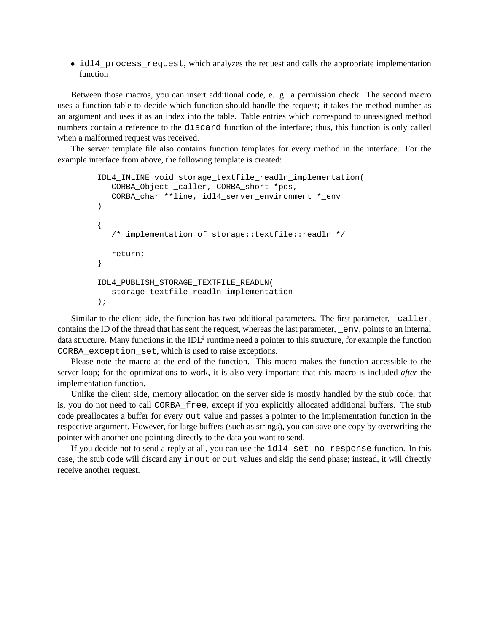• idl4\_process\_request, which analyzes the request and calls the appropriate implementation function

Between those macros, you can insert additional code, e. g. a permission check. The second macro uses a function table to decide which function should handle the request; it takes the method number as an argument and uses it as an index into the table. Table entries which correspond to unassigned method numbers contain a reference to the discard function of the interface; thus, this function is only called when a malformed request was received.

The server template file also contains function templates for every method in the interface. For the example interface from above, the following template is created:

```
IDL4_INLINE void storage_textfile_readln_implementation(
  CORBA_Object _caller, CORBA_short *pos,
  CORBA_char **line, idl4_server_environment *_env
)
{
  /* implementation of storage::textfile::readln */
  return;
}
IDL4_PUBLISH_STORAGE_TEXTFILE_READLN(
  storage_textfile_readln_implementation
);
```
Similar to the client side, the function has two additional parameters. The first parameter, caller, contains the ID of the thread that has sent the request, whereas the last parameter, \_env, points to an internal data structure. Many functions in the IDL<sup>4</sup> runtime need a pointer to this structure, for example the function CORBA\_exception\_set, which is used to raise exceptions.

Please note the macro at the end of the function. This macro makes the function accessible to the server loop; for the optimizations to work, it is also very important that this macro is included *after* the implementation function.

Unlike the client side, memory allocation on the server side is mostly handled by the stub code, that is, you do not need to call CORBA\_free, except if you explicitly allocated additional buffers. The stub code preallocates a buffer for every out value and passes a pointer to the implementation function in the respective argument. However, for large buffers (such as strings), you can save one copy by overwriting the pointer with another one pointing directly to the data you want to send.

If you decide not to send a reply at all, you can use the idl4\_set\_no\_response function. In this case, the stub code will discard any inout or out values and skip the send phase; instead, it will directly receive another request.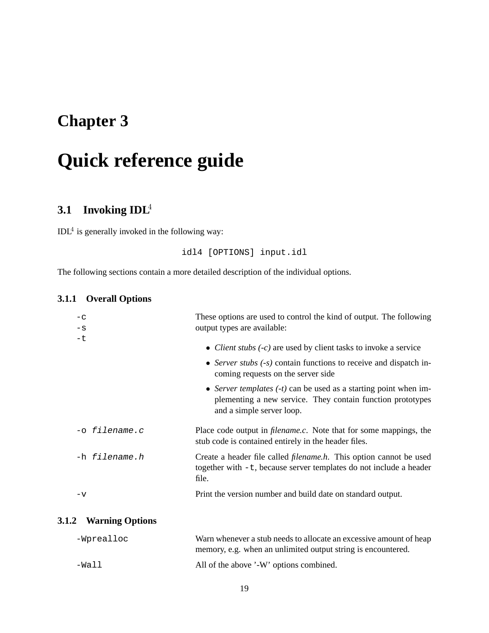# **Quick reference guide**

# **3.1 Invoking IDL**<sup>4</sup>

 $IDL<sup>4</sup>$  is generally invoked in the following way:

idl4 [OPTIONS] input.idl

The following sections contain a more detailed description of the individual options.

#### **3.1.1 Overall Options**

| $-c$                                   | These options are used to control the kind of output. The following                                                                                           |
|----------------------------------------|---------------------------------------------------------------------------------------------------------------------------------------------------------------|
| $-S$                                   | output types are available:                                                                                                                                   |
| $-t$                                   | • <i>Client stubs</i> $(-c)$ are used by client tasks to invoke a service                                                                                     |
|                                        | • Server stubs $(-s)$ contain functions to receive and dispatch in-<br>coming requests on the server side                                                     |
|                                        | • Server templates $(-t)$ can be used as a starting point when im-<br>plementing a new service. They contain function prototypes<br>and a simple server loop. |
| -o filename.c                          | Place code output in <i>filename.c.</i> Note that for some mappings, the<br>stub code is contained entirely in the header files.                              |
| -h filename.h                          | Create a header file called <i>filename.h.</i> This option cannot be used<br>together with $-t$ , because server templates do not include a header<br>file.   |
| $-\nabla$                              | Print the version number and build date on standard output.                                                                                                   |
| <b>Warning Ontions</b><br>$\mathbf{2}$ |                                                                                                                                                               |

# **3.1.2 Warning Options**

| -Wprealloc | Warn whenever a stub needs to allocate an excessive amount of heap |
|------------|--------------------------------------------------------------------|
|            | memory, e.g. when an unlimited output string is encountered.       |
| -Wall      | All of the above '-W' options combined.                            |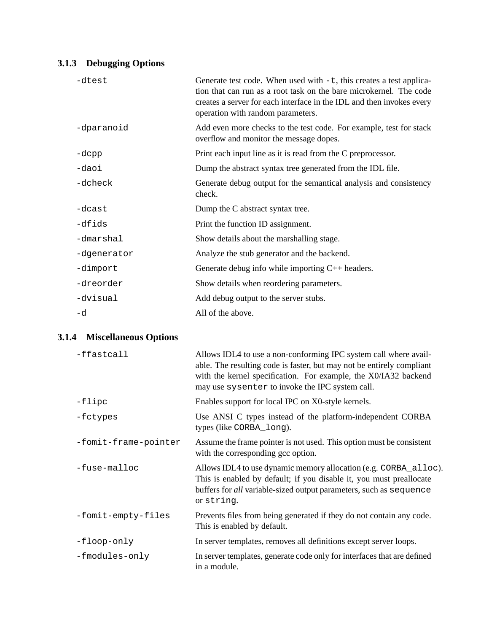## **3.1.3 Debugging Options**

| -dtest      | Generate test code. When used with $-t$ , this creates a test applica-<br>tion that can run as a root task on the bare microkernel. The code<br>creates a server for each interface in the IDL and then invokes every<br>operation with random parameters. |
|-------------|------------------------------------------------------------------------------------------------------------------------------------------------------------------------------------------------------------------------------------------------------------|
| -dparanoid  | Add even more checks to the test code. For example, test for stack<br>overflow and monitor the message dopes.                                                                                                                                              |
| -dcpp       | Print each input line as it is read from the C preprocessor.                                                                                                                                                                                               |
| -daoi       | Dump the abstract syntax tree generated from the IDL file.                                                                                                                                                                                                 |
| -dcheck     | Generate debug output for the semantical analysis and consistency<br>check.                                                                                                                                                                                |
| -dcast      | Dump the C abstract syntax tree.                                                                                                                                                                                                                           |
| -dfids      | Print the function ID assignment.                                                                                                                                                                                                                          |
| -dmarshal   | Show details about the marshalling stage.                                                                                                                                                                                                                  |
| -dgenerator | Analyze the stub generator and the backend.                                                                                                                                                                                                                |
| -dimport    | Generate debug info while importing $C_{++}$ headers.                                                                                                                                                                                                      |
| -dreorder   | Show details when reordering parameters.                                                                                                                                                                                                                   |
| -dvisual    | Add debug output to the server stubs.                                                                                                                                                                                                                      |
| -d          | All of the above.                                                                                                                                                                                                                                          |

## **3.1.4 Miscellaneous Options**

| -ffastcall           | Allows IDL4 to use a non-conforming IPC system call where avail-<br>able. The resulting code is faster, but may not be entirely compliant<br>with the kernel specification. For example, the X0/IA32 backend<br>may use sysenter to invoke the IPC system call. |
|----------------------|-----------------------------------------------------------------------------------------------------------------------------------------------------------------------------------------------------------------------------------------------------------------|
| $-flipc$             | Enables support for local IPC on X0-style kernels.                                                                                                                                                                                                              |
| -fctypes             | Use ANSI C types instead of the platform-independent CORBA<br>types (like CORBA_long).                                                                                                                                                                          |
| -fomit-frame-pointer | Assume the frame pointer is not used. This option must be consistent<br>with the corresponding gcc option.                                                                                                                                                      |
| -fuse-malloc         | Allows IDL4 to use dynamic memory allocation (e.g. CORBA_alloc).<br>This is enabled by default; if you disable it, you must preallocate<br>buffers for all variable-sized output parameters, such as sequence<br>or string.                                     |
| -fomit-empty-files   | Prevents files from being generated if they do not contain any code.<br>This is enabled by default.                                                                                                                                                             |
| -floop-only          | In server templates, removes all definitions except server loops.                                                                                                                                                                                               |
| -fmodules-only       | In server templates, generate code only for interfaces that are defined<br>in a module.                                                                                                                                                                         |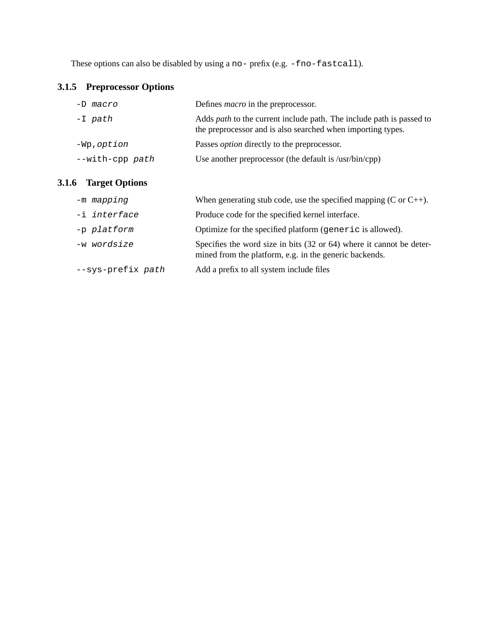These options can also be disabled by using a no- prefix (e.g. -fno-fastcall).

## **3.1.5 Preprocessor Options**

| -D macro           | Defines <i>macro</i> in the preprocessor.                                                                                                  |
|--------------------|--------------------------------------------------------------------------------------------------------------------------------------------|
| -I path            | Adds <i>path</i> to the current include path. The include path is passed to<br>the preprocessor and is also searched when importing types. |
| -Wp,option         | Passes <i>option</i> directly to the preprocessor.                                                                                         |
| $--with$ -cpp path | Use another preprocessor (the default is $\sqrt{\sinh(\text{cpp})}$ )                                                                      |

## **3.1.6 Target Options**

| -m mapping        | When generating stub code, use the specified mapping (C or $C_{++}$ ).                                                                    |
|-------------------|-------------------------------------------------------------------------------------------------------------------------------------------|
| -i interface      | Produce code for the specified kernel interface.                                                                                          |
| -p platform       | Optimize for the specified platform (generic is allowed).                                                                                 |
| -w wordsize       | Specifies the word size in bits $(32 \text{ or } 64)$ where it cannot be deter-<br>mined from the platform, e.g. in the generic backends. |
| --sys-prefix path | Add a prefix to all system include files                                                                                                  |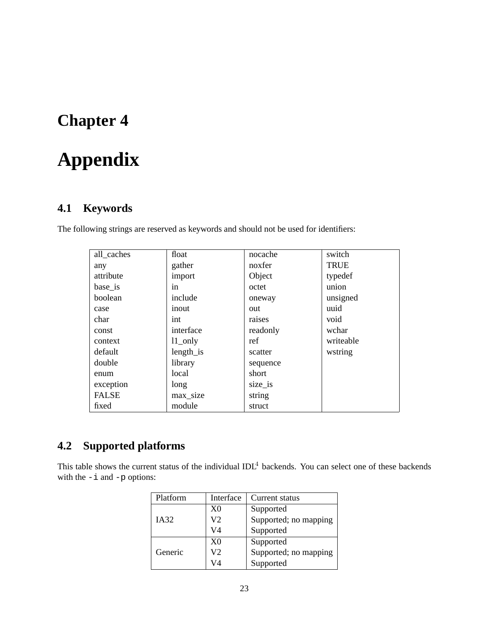# **Appendix**

## **4.1 Keywords**

The following strings are reserved as keywords and should not be used for identifiers:

| all_caches   | float      | nocache  | switch      |
|--------------|------------|----------|-------------|
| any          | gather     | noxfer   | <b>TRUE</b> |
| attribute    | import     | Object   | typedef     |
| base_is      | in         | octet    | union       |
| boolean      | include    | oneway   | unsigned    |
| case         | inout      | out      | uuid        |
| char         | int        | raises   | void        |
| const        | interface  | readonly | wchar       |
| context      | $11$ _only | ref      | writeable   |
| default      | length_is  | scatter  | wstring     |
| double       | library    | sequence |             |
| enum         | local      | short    |             |
| exception    | long       | size_is  |             |
| <b>FALSE</b> | max_size   | string   |             |
| fixed        | module     | struct   |             |

# **4.2 Supported platforms**

This table shows the current status of the individual IDL<sup>4</sup> backends. You can select one of these backends with the  $-i$  and  $-p$  options:

| Platform | Interface      | Current status        |
|----------|----------------|-----------------------|
| IA32     | X <sub>0</sub> | Supported             |
|          | V <sub>2</sub> | Supported; no mapping |
|          | V4             | Supported             |
|          | X <sub>0</sub> | Supported             |
| Generic  | V2             | Supported; no mapping |
|          | V4             | Supported             |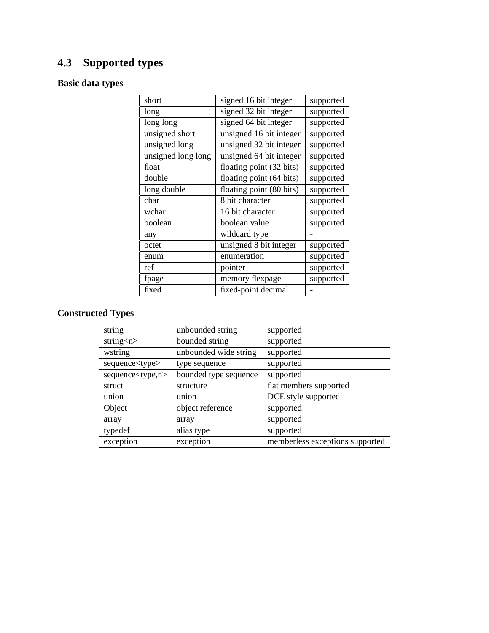# **4.3 Supported types**

## **Basic data types**

| signed 16 bit integer    | supported |
|--------------------------|-----------|
| signed 32 bit integer    | supported |
| signed 64 bit integer    | supported |
| unsigned 16 bit integer  | supported |
| unsigned 32 bit integer  | supported |
| unsigned 64 bit integer  | supported |
| floating point (32 bits) | supported |
| floating point (64 bits) | supported |
| floating point (80 bits) | supported |
| 8 bit character          | supported |
| 16 bit character         | supported |
| boolean value            | supported |
| wildcard type            |           |
| unsigned 8 bit integer   | supported |
| enumeration              | supported |
| pointer                  | supported |
| memory flexpage          | supported |
| fixed-point decimal      |           |
|                          |           |

# **Constructed Types**

| string                     | unbounded string      | supported                       |
|----------------------------|-----------------------|---------------------------------|
| string $\langle n \rangle$ | bounded string        | supported                       |
| wstring                    | unbounded wide string | supported                       |
| sequence <type></type>     | type sequence         | supported                       |
| sequence <type,n></type,n> | bounded type sequence | supported                       |
| struct                     | structure             | flat members supported          |
| union                      | union                 | DCE style supported             |
| Object                     | object reference      | supported                       |
| array                      | array                 | supported                       |
| typedef                    | alias type            | supported                       |
| exception                  | exception             | memberless exceptions supported |